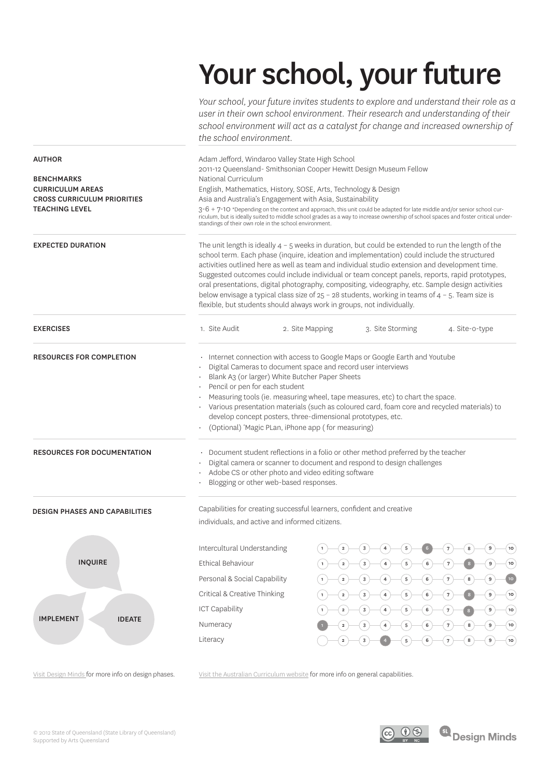# Your school, your future

*Your school, your future invites students to explore and understand their role as a user in their own school environment. Their research and understanding of their school environment will act as a catalyst for change and increased ownership of the school environment.*

| <b>AUTHOR</b><br><b>BENCHMARKS</b><br><b>CURRICULUM AREAS</b><br><b>CROSS CURRICULUM PRIORITIES</b><br><b>TEACHING LEVEL</b><br><b>EXPECTED DURATION</b> | Adam Jefford, Windaroo Valley State High School<br>2011-12 Queensland- Smithsonian Cooper Hewitt Design Museum Fellow<br>National Curriculum<br>English, Mathematics, History, SOSE, Arts, Technology & Design<br>Asia and Australia's Engagement with Asia, Sustainability<br>3-6 + 7-10 *Depending on the context and approach, this unit could be adapted for late middle and/or senior school cur-<br>riculum, but is ideally suited to middle school grades as a way to increase ownership of school spaces and foster critical under-<br>standings of their own role in the school environment.<br>The unit length is ideally $4 - 5$ weeks in duration, but could be extended to run the length of the<br>school term. Each phase (inquire, ideation and implementation) could include the structured |                 |                                                                                          |                                                                                                                                                                                 |
|----------------------------------------------------------------------------------------------------------------------------------------------------------|--------------------------------------------------------------------------------------------------------------------------------------------------------------------------------------------------------------------------------------------------------------------------------------------------------------------------------------------------------------------------------------------------------------------------------------------------------------------------------------------------------------------------------------------------------------------------------------------------------------------------------------------------------------------------------------------------------------------------------------------------------------------------------------------------------------|-----------------|------------------------------------------------------------------------------------------|---------------------------------------------------------------------------------------------------------------------------------------------------------------------------------|
|                                                                                                                                                          | activities outlined here as well as team and individual studio extension and development time.<br>Suggested outcomes could include individual or team concept panels, reports, rapid prototypes,<br>oral presentations, digital photography, compositing, videography, etc. Sample design activities<br>below envisage a typical class size of $25 - 28$ students, working in teams of $4 - 5$ . Team size is<br>flexible, but students should always work in groups, not individually.                                                                                                                                                                                                                                                                                                                      |                 |                                                                                          |                                                                                                                                                                                 |
| <b>EXERCISES</b>                                                                                                                                         | 1. Site Audit                                                                                                                                                                                                                                                                                                                                                                                                                                                                                                                                                                                                                                                                                                                                                                                                | 2. Site Mapping | 3. Site Storming                                                                         | 4. Site-o-type                                                                                                                                                                  |
| <b>RESOURCES FOR COMPLETION</b>                                                                                                                          | · Internet connection with access to Google Maps or Google Earth and Youtube<br>Digital Cameras to document space and record user interviews<br>Blank A3 (or larger) White Butcher Paper Sheets<br>Pencil or pen for each student<br>Measuring tools (ie. measuring wheel, tape measures, etc) to chart the space.<br>Various presentation materials (such as coloured card, foam core and recycled materials) to<br>develop concept posters, three-dimensional prototypes, etc.<br>(Optional) 'Magic PLan, iPhone app (for measuring)                                                                                                                                                                                                                                                                       |                 |                                                                                          |                                                                                                                                                                                 |
| <b>RESOURCES FOR DOCUMENTATION</b>                                                                                                                       | Document student reflections in a folio or other method preferred by the teacher<br>Digital camera or scanner to document and respond to design challenges<br>Adobe CS or other photo and video editing software<br>Blogging or other web-based responses.                                                                                                                                                                                                                                                                                                                                                                                                                                                                                                                                                   |                 |                                                                                          |                                                                                                                                                                                 |
| <b>DESIGN PHASES AND CAPABILITIES</b>                                                                                                                    | Capabilities for creating successful learners, confident and creative<br>individuals, and active and informed citizens.                                                                                                                                                                                                                                                                                                                                                                                                                                                                                                                                                                                                                                                                                      |                 |                                                                                          |                                                                                                                                                                                 |
| <b>INQUIRE</b>                                                                                                                                           | Intercultural Understanding<br>Ethical Behaviour<br>Personal & Social Capability<br>Critical & Creative Thinking                                                                                                                                                                                                                                                                                                                                                                                                                                                                                                                                                                                                                                                                                             | $\mathbf 2$     | $\mathbf{3}$<br>5<br>$\mathbf 6$<br>$\mathbf{3}$<br>$\overline{\mathbf{4}}$<br>${\bf 5}$ | 10 <sub>o</sub><br>10<br>$\mathsf g$<br>$\boldsymbol{7}$<br>8                                                                                                                   |
| <b>IMPLEMENT</b><br><b>IDEATE</b>                                                                                                                        | <b>ICT Capability</b><br>Numeracy<br>Literacy                                                                                                                                                                                                                                                                                                                                                                                                                                                                                                                                                                                                                                                                                                                                                                | $\mathbf 2$     | $5^{\circ}$<br>$\mathbf 6$<br>4<br>5<br>6<br>5<br>6<br>5<br>6                            | $\boldsymbol{7}$<br>$\boldsymbol{9}$<br>(10)<br>(10)<br>$\sqrt{7}$<br>$9\,$<br>$\boldsymbol{9}$<br>(10)<br>$\sqrt{7}$<br>8<br>$\boldsymbol{9}$<br>$\sqrt{7}$<br>8<br>$($ 10 $)$ |

Visit Design Minds for more info on design phases.

Visit the Australian Curriculum website for more info on general capabilities.

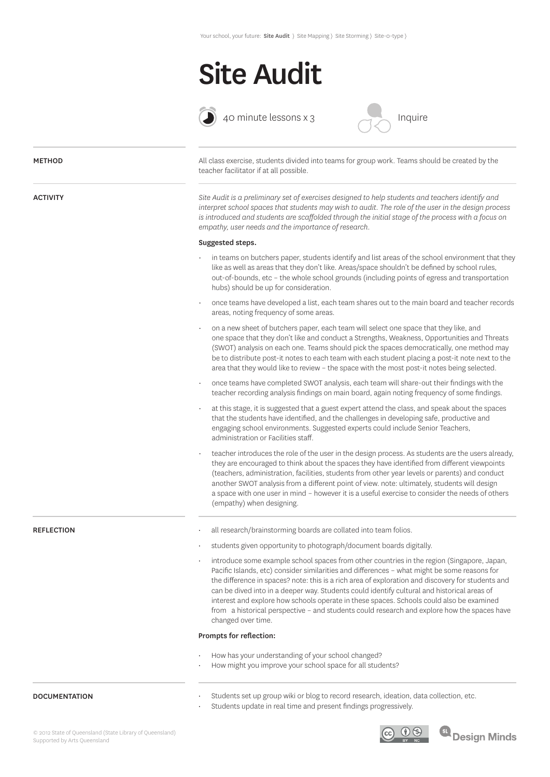## Site Audit



 $\bigodot$  40 minute lessons x 3



| <b>METHOD</b>         | All class exercise, students divided into teams for group work. Teams should be created by the<br>teacher facilitator if at all possible.                                                                                                                                                                                                                                                                                                                                                                                                                                                                       |
|-----------------------|-----------------------------------------------------------------------------------------------------------------------------------------------------------------------------------------------------------------------------------------------------------------------------------------------------------------------------------------------------------------------------------------------------------------------------------------------------------------------------------------------------------------------------------------------------------------------------------------------------------------|
| <b>ACTIVITY</b>       | Site Audit is a preliminary set of exercises designed to help students and teachers identify and<br>interpret school spaces that students may wish to audit. The role of the user in the design process<br>is introduced and students are scaffolded through the initial stage of the process with a focus on<br>empathy, user needs and the importance of research.                                                                                                                                                                                                                                            |
|                       | Suggested steps.                                                                                                                                                                                                                                                                                                                                                                                                                                                                                                                                                                                                |
|                       | in teams on butchers paper, students identify and list areas of the school environment that they<br>like as well as areas that they don't like. Areas/space shouldn't be defined by school rules,<br>out-of-bounds, etc - the whole school grounds (including points of egress and transportation<br>hubs) should be up for consideration.                                                                                                                                                                                                                                                                      |
|                       | once teams have developed a list, each team shares out to the main board and teacher records<br>areas, noting frequency of some areas.                                                                                                                                                                                                                                                                                                                                                                                                                                                                          |
|                       | on a new sheet of butchers paper, each team will select one space that they like, and<br>one space that they don't like and conduct a Strengths, Weakness, Opportunities and Threats<br>(SWOT) analysis on each one. Teams should pick the spaces democratically, one method may<br>be to distribute post-it notes to each team with each student placing a post-it note next to the<br>area that they would like to review - the space with the most post-it notes being selected.                                                                                                                             |
|                       | once teams have completed SWOT analysis, each team will share-out their findings with the<br>teacher recording analysis findings on main board, again noting frequency of some findings.                                                                                                                                                                                                                                                                                                                                                                                                                        |
|                       | at this stage, it is suggested that a guest expert attend the class, and speak about the spaces<br>that the students have identified, and the challenges in developing safe, productive and<br>engaging school environments. Suggested experts could include Senior Teachers,<br>administration or Facilities staff.                                                                                                                                                                                                                                                                                            |
|                       | teacher introduces the role of the user in the design process. As students are the users already,<br>they are encouraged to think about the spaces they have identified from different viewpoints<br>(teachers, administration, facilities, students from other year levels or parents) and conduct<br>another SWOT analysis from a different point of view. note: ultimately, students will design<br>a space with one user in mind - however it is a useful exercise to consider the needs of others<br>(empathy) when designing.                                                                             |
| <b>REFLECTION</b>     | all research/brainstorming boards are collated into team folios.                                                                                                                                                                                                                                                                                                                                                                                                                                                                                                                                                |
|                       | students given opportunity to photograph/document boards digitally.                                                                                                                                                                                                                                                                                                                                                                                                                                                                                                                                             |
|                       | introduce some example school spaces from other countries in the region (Singapore, Japan,<br>Pacific Islands, etc) consider similarities and differences - what might be some reasons for<br>the difference in spaces? note: this is a rich area of exploration and discovery for students and<br>can be dived into in a deeper way. Students could identify cultural and historical areas of<br>interest and explore how schools operate in these spaces. Schools could also be examined<br>from a historical perspective - and students could research and explore how the spaces have<br>changed over time. |
|                       | Prompts for reflection:                                                                                                                                                                                                                                                                                                                                                                                                                                                                                                                                                                                         |
|                       | How has your understanding of your school changed?<br>How might you improve your school space for all students?                                                                                                                                                                                                                                                                                                                                                                                                                                                                                                 |
| <b>DOCLIMENTATION</b> | Students set un group wiki or blog to record research ideation, data collection, etc.                                                                                                                                                                                                                                                                                                                                                                                                                                                                                                                           |

#### DOCUMENTATION

- Students set up group wiki or blog to record research, ideation, data collection, etc.
- Students update in real time and present findings progressively.



<sup>SL</sup> Design Minds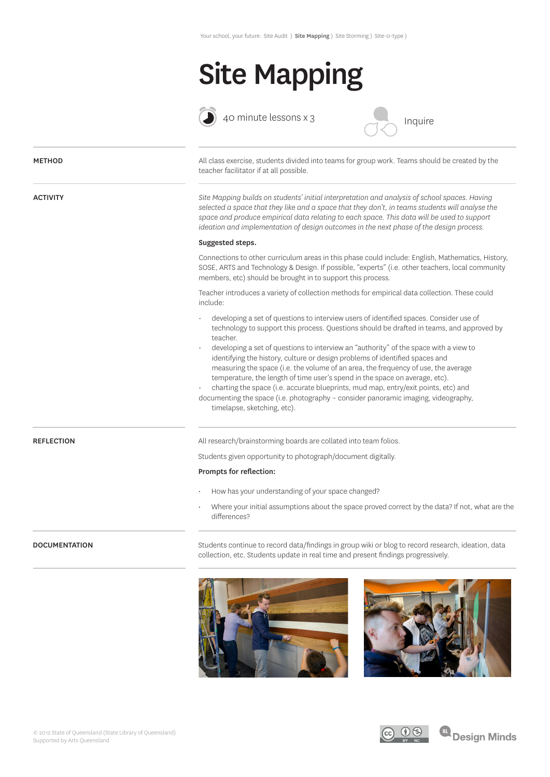## Site Mapping



 $\bigodot$  40 minute lessons x 3



| <b>METHOD</b>        | All class exercise, students divided into teams for group work. Teams should be created by the<br>teacher facilitator if at all possible.                                                                                                                                                                                                                                                                                                                                                                                                                                                                                                                                                                                                                |  |  |
|----------------------|----------------------------------------------------------------------------------------------------------------------------------------------------------------------------------------------------------------------------------------------------------------------------------------------------------------------------------------------------------------------------------------------------------------------------------------------------------------------------------------------------------------------------------------------------------------------------------------------------------------------------------------------------------------------------------------------------------------------------------------------------------|--|--|
| <b>ACTIVITY</b>      | Site Mapping builds on students' initial interpretation and analysis of school spaces. Having<br>selected a space that they like and a space that they don't, in teams students will analyse the<br>space and produce empirical data relating to each space. This data will be used to support<br>ideation and implementation of design outcomes in the next phase of the design process.                                                                                                                                                                                                                                                                                                                                                                |  |  |
|                      | Suggested steps.                                                                                                                                                                                                                                                                                                                                                                                                                                                                                                                                                                                                                                                                                                                                         |  |  |
|                      | Connections to other curriculum areas in this phase could include: English, Mathematics, History,<br>SOSE, ARTS and Technology & Design. If possible, "experts" (i.e. other teachers, local community<br>members, etc) should be brought in to support this process.                                                                                                                                                                                                                                                                                                                                                                                                                                                                                     |  |  |
|                      | Teacher introduces a variety of collection methods for empirical data collection. These could<br>include:                                                                                                                                                                                                                                                                                                                                                                                                                                                                                                                                                                                                                                                |  |  |
|                      | developing a set of questions to interview users of identified spaces. Consider use of<br>technology to support this process. Questions should be drafted in teams, and approved by<br>teacher.<br>developing a set of questions to interview an "authority" of the space with a view to<br>identifying the history, culture or design problems of identified spaces and<br>measuring the space (i.e. the volume of an area, the frequency of use, the average<br>temperature, the length of time user's spend in the space on average, etc).<br>charting the space (i.e. accurate blueprints, mud map, entry/exit points, etc) and<br>documenting the space (i.e. photography - consider panoramic imaging, videography,<br>timelapse, sketching, etc). |  |  |
| <b>REFLECTION</b>    | All research/brainstorming boards are collated into team folios.                                                                                                                                                                                                                                                                                                                                                                                                                                                                                                                                                                                                                                                                                         |  |  |
|                      | Students given opportunity to photograph/document digitally.                                                                                                                                                                                                                                                                                                                                                                                                                                                                                                                                                                                                                                                                                             |  |  |
|                      | Prompts for reflection:                                                                                                                                                                                                                                                                                                                                                                                                                                                                                                                                                                                                                                                                                                                                  |  |  |
|                      | How has your understanding of your space changed?                                                                                                                                                                                                                                                                                                                                                                                                                                                                                                                                                                                                                                                                                                        |  |  |
|                      | Where your initial assumptions about the space proved correct by the data? If not, what are the<br>differences?                                                                                                                                                                                                                                                                                                                                                                                                                                                                                                                                                                                                                                          |  |  |
| <b>DOCUMENTATION</b> | Students continue to record data/findings in group wiki or blog to record research, ideation, data<br>collection, etc. Students update in real time and present findings progressively.                                                                                                                                                                                                                                                                                                                                                                                                                                                                                                                                                                  |  |  |
|                      |                                                                                                                                                                                                                                                                                                                                                                                                                                                                                                                                                                                                                                                                                                                                                          |  |  |



**SL**<br>Design Minds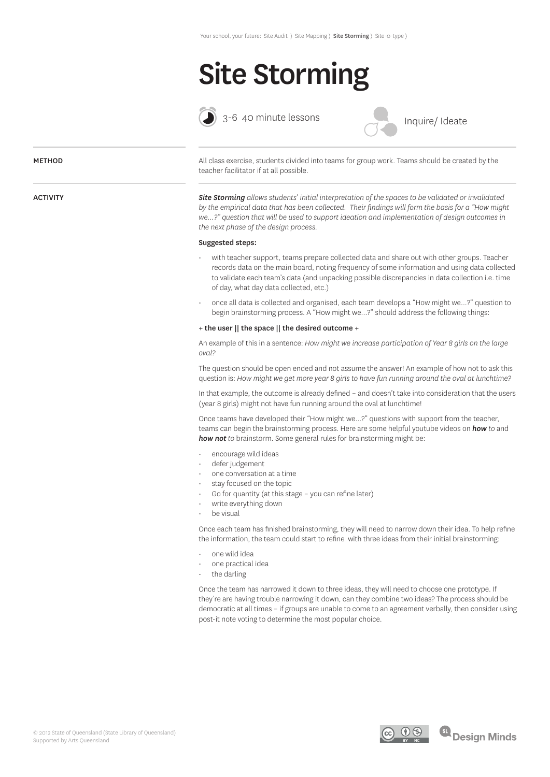## Site Storming



3-6 40 minute lessons

Inquire/ Ideate

### **METHOD**

ACTIVITY

All class exercise, students divided into teams for group work. Teams should be created by the teacher facilitator if at all possible.

*Site Storming allows students' initial interpretation of the spaces to be validated or invalidated by the empirical data that has been collected. Their findings will form the basis for a "How might we…?" question that will be used to support ideation and implementation of design outcomes in the next phase of the design process.*

### Suggested steps:

- with teacher support, teams prepare collected data and share out with other groups. Teacher records data on the main board, noting frequency of some information and using data collected to validate each team's data (and unpacking possible discrepancies in data collection i.e. time of day, what day data collected, etc.)
- once all data is collected and organised, each team develops a "How might we...?" question to begin brainstorming process. A "How might we...?" should address the following things:

### + the user || the space || the desired outcome +

An example of this in a sentence: *How might we increase participation of Year 8 girls on the large oval?*

The question should be open ended and not assume the answer! An example of how not to ask this question is: *How might we get more year 8 girls to have fun running around the oval at lunchtime?*

In that example, the outcome is already defined – and doesn't take into consideration that the users (year 8 girls) might not have fun running around the oval at lunchtime!

Once teams have developed their "How might we...?" questions with support from the teacher, teams can begin the brainstorming process. Here are some helpful youtube videos on *how to* and *how not to* brainstorm. Some general rules for brainstorming might be:

- encourage wild ideas
- defer judgement
- one conversation at a time
- stay focused on the topic
- Go for quantity (at this stage you can refine later)
- write everything down
- be visual

Once each team has finished brainstorming, they will need to narrow down their idea. To help refine the information, the team could start to refine with three ideas from their initial brainstorming:

- one wild idea
- one practical idea
- the darling

Once the team has narrowed it down to three ideas, they will need to choose one prototype. If they're are having trouble narrowing it down, can they combine two ideas? The process should be democratic at all times – if groups are unable to come to an agreement verbally, then consider using post-it note voting to determine the most popular choice.

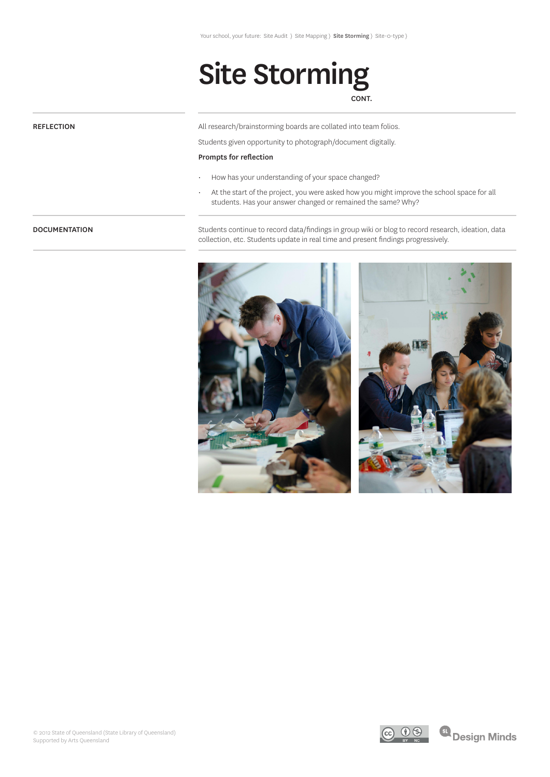# Site Storming

### CONT.

### **REFLECTION**

All research/brainstorming boards are collated into team folios.

Students given opportunity to photograph/document digitally.

### Prompts for reflection

- How has your understanding of your space changed?
- At the start of the project, you were asked how you might improve the school space for all students. Has your answer changed or remained the same? Why?

### **DOCUMENTATION**

Students continue to record data/findings in group wiki or blog to record research, ideation, data collection, etc. Students update in real time and present findings progressively.







<sup>61</sup> Design Minds